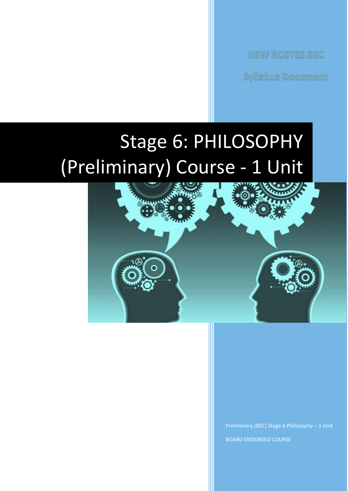**NSW BOSTES BEC** 

**Syllabus Document** 

# Stage 6: PHILOSOPHY (Preliminary) Course - 1 Unit



Preliminary (BEC) Stage 6 Philosophy – 1 Unit BOARD ENDORSED COURSE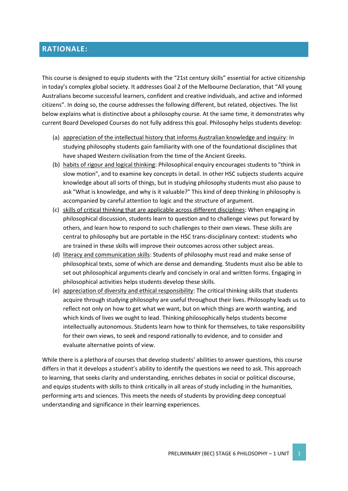# **RATIONALE:**

This course is designed to equip students with the "21st century skills" essential for active citizenship in today's complex global society. It addresses Goal 2 of the Melbourne Declaration, that "All young Australians become successful learners, confident and creative individuals, and active and informed citizens". In doing so, the course addresses the following different, but related, objectives. The list below explains what is distinctive about a philosophy course. At the same time, it demonstrates why current Board Developed Courses do not fully address this goal. Philosophy helps students develop:

- (a) appreciation of the intellectual history that informs Australian knowledge and inquiry: In studying philosophy students gain familiarity with one of the foundational disciplines that have shaped Western civilisation from the time of the Ancient Greeks.
- (b) habits of rigour and logical thinking: Philosophical enquiry encourages students to "think in slow motion", and to examine key concepts in detail. In other HSC subjects students acquire knowledge about all sorts of things, but in studying philosophy students must also pause to ask "What is knowledge, and why is it valuable?" This kind of deep thinking in philosophy is accompanied by careful attention to logic and the structure of argument.
- (c) skills of critical thinking that are applicable across different disciplines: When engaging in philosophical discussion, students learn to question and to challenge views put forward by others, and learn how to respond to such challenges to their own views. These skills are central to philosophy but are portable in the HSC trans-disciplinary context: students who are trained in these skills will improve their outcomes across other subject areas.
- (d) literacy and communication skills: Students of philosophy must read and make sense of philosophical texts, some of which are dense and demanding. Students must also be able to set out philosophical arguments clearly and concisely in oral and written forms. Engaging in philosophical activities helps students develop these skills.
- (e) appreciation of diversity and ethical responsibility: The critical thinking skills that students acquire through studying philosophy are useful throughout their lives. Philosophy leads us to reflect not only on how to get what we want, but on which things are worth wanting, and which kinds of lives we ought to lead. Thinking philosophically helps students become intellectually autonomous. Students learn how to think for themselves, to take responsibility for their own views, to seek and respond rationally to evidence, and to consider and evaluate alternative points of view.

While there is a plethora of courses that develop students' abilities to answer questions, this course differs in that it develops a student's ability to identify the questions we need to ask. This approach to learning, that seeks clarity and understanding, enriches debates in social or political discourse, and equips students with skills to think critically in all areas of study including in the humanities, performing arts and sciences. This meets the needs of students by providing deep conceptual understanding and significance in their learning experiences.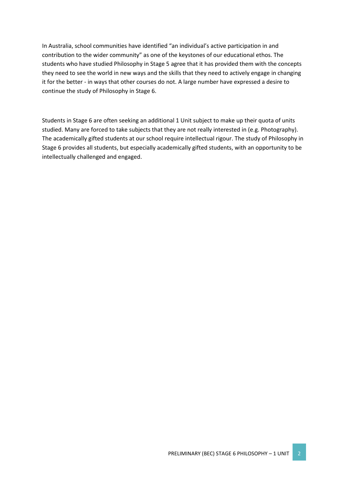In Australia, school communities have identified "an individual's active participation in and contribution to the wider community" as one of the keystones of our educational ethos. The students who have studied Philosophy in Stage 5 agree that it has provided them with the concepts they need to see the world in new ways and the skills that they need to actively engage in changing it for the better - in ways that other courses do not. A large number have expressed a desire to continue the study of Philosophy in Stage 6.

Students in Stage 6 are often seeking an additional 1 Unit subject to make up their quota of units studied. Many are forced to take subjects that they are not really interested in (e.g. Photography). The academically gifted students at our school require intellectual rigour. The study of Philosophy in Stage 6 provides all students, but especially academically gifted students, with an opportunity to be intellectually challenged and engaged.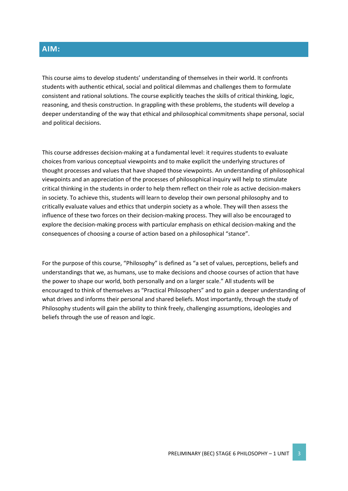# **AIM:**

This course aims to develop students' understanding of themselves in their world. It confronts students with authentic ethical, social and political dilemmas and challenges them to formulate consistent and rational solutions. The course explicitly teaches the skills of critical thinking, logic, reasoning, and thesis construction. In grappling with these problems, the students will develop a deeper understanding of the way that ethical and philosophical commitments shape personal, social and political decisions.

This course addresses decision-making at a fundamental level: it requires students to evaluate choices from various conceptual viewpoints and to make explicit the underlying structures of thought processes and values that have shaped those viewpoints. An understanding of philosophical viewpoints and an appreciation of the processes of philosophical inquiry will help to stimulate critical thinking in the students in order to help them reflect on their role as active decision-makers in society. To achieve this, students will learn to develop their own personal philosophy and to critically evaluate values and ethics that underpin society as a whole. They will then assess the influence of these two forces on their decision-making process. They will also be encouraged to explore the decision-making process with particular emphasis on ethical decision-making and the consequences of choosing a course of action based on a philosophical "stance".

For the purpose of this course, "Philosophy" is defined as "a set of values, perceptions, beliefs and understandings that we, as humans, use to make decisions and choose courses of action that have the power to shape our world, both personally and on a larger scale." All students will be encouraged to think of themselves as "Practical Philosophers" and to gain a deeper understanding of what drives and informs their personal and shared beliefs. Most importantly, through the study of Philosophy students will gain the ability to think freely, challenging assumptions, ideologies and beliefs through the use of reason and logic.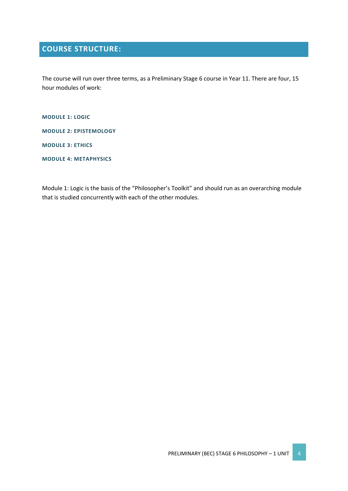# **COURSE STRUCTURE:**

The course will run over three terms, as a Preliminary Stage 6 course in Year 11. There are four, 15 hour modules of work:

**MODULE 1: LOGIC**

**MODULE 2: EPISTEMOLOGY**

**MODULE 3: ETHICS**

**MODULE 4: METAPHYSICS**

Module 1: Logic is the basis of the "Philosopher's Toolkit" and should run as an overarching module that is studied concurrently with each of the other modules.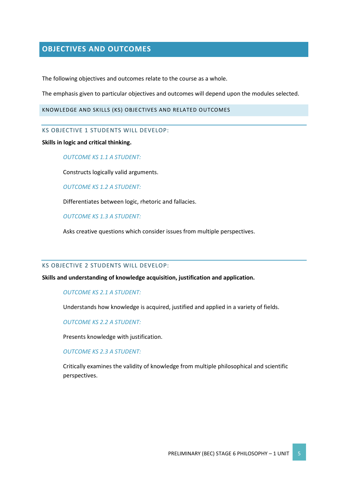# **OBJECTIVES AND OUTCOMES**

The following objectives and outcomes relate to the course as a whole.

The emphasis given to particular objectives and outcomes will depend upon the modules selected.

KNOWLEDGE AND SKILLS (KS) OBJECTIVES AND RELATED OUTCOMES

KS OBJECTIVE 1 STUDENTS WILL DEVELOP:

**Skills in logic and critical thinking.**

*OUTCOME KS 1.1 A STUDENT:*

Constructs logically valid arguments.

*OUTCOME KS 1.2 A STUDENT:*

Differentiates between logic, rhetoric and fallacies.

*OUTCOME KS 1.3 A STUDENT:*

Asks creative questions which consider issues from multiple perspectives.

#### KS OBJECTIVE 2 STUDENTS WILL DEVELOP:

**Skills and understanding of knowledge acquisition, justification and application.**

*OUTCOME KS 2.1 A STUDENT:*

Understands how knowledge is acquired, justified and applied in a variety of fields.

*OUTCOME KS 2.2 A STUDENT:*

Presents knowledge with justification.

*OUTCOME KS 2.3 A STUDENT:*

Critically examines the validity of knowledge from multiple philosophical and scientific perspectives.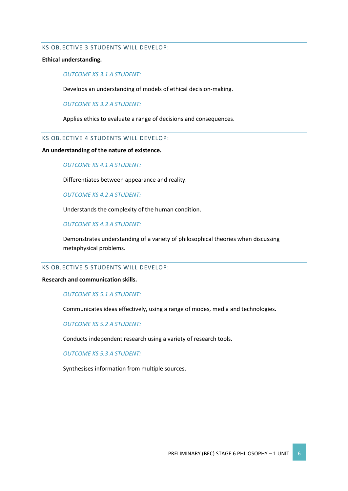#### KS OBJECTIVE 3 STUDENTS WILL DEVELOP:

#### **Ethical understanding.**

#### *OUTCOME KS 3.1 A STUDENT:*

Develops an understanding of models of ethical decision-making.

*OUTCOME KS 3.2 A STUDENT:*

Applies ethics to evaluate a range of decisions and consequences.

## KS OBJECTIVE 4 STUDENTS WILL DEVELOP:

#### **An understanding of the nature of existence.**

#### *OUTCOME KS 4.1 A STUDENT:*

Differentiates between appearance and reality.

*OUTCOME KS 4.2 A STUDENT:*

Understands the complexity of the human condition.

#### *OUTCOME KS 4.3 A STUDENT:*

Demonstrates understanding of a variety of philosophical theories when discussing metaphysical problems.

#### KS OBJECTIVE 5 STUDENTS WILL DEVELOP:

#### **Research and communication skills.**

#### *OUTCOME KS 5.1 A STUDENT:*

Communicates ideas effectively, using a range of modes, media and technologies.

#### *OUTCOME KS 5.2 A STUDENT:*

Conducts independent research using a variety of research tools.

#### *OUTCOME KS 5.3 A STUDENT:*

Synthesises information from multiple sources.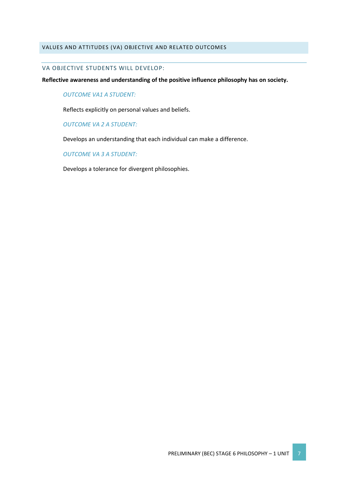#### VALUES AND ATTITUDES (VA) OBJECTIVE AND RELATED OUTCOMES

#### VA OBJECTIVE STUDENTS WILL DEVELOP:

**Reflective awareness and understanding of the positive influence philosophy has on society.**

#### *OUTCOME VA1 A STUDENT:*

Reflects explicitly on personal values and beliefs.

#### *OUTCOME VA 2 A STUDENT:*

Develops an understanding that each individual can make a difference.

#### *OUTCOME VA 3 A STUDENT:*

Develops a tolerance for divergent philosophies.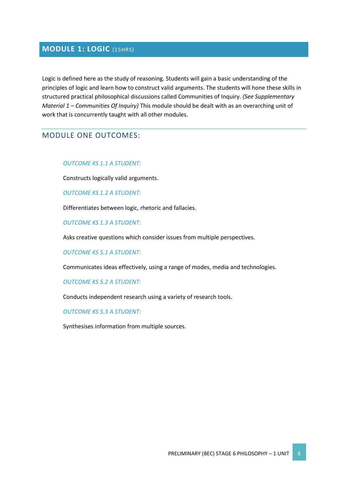# **MODULE 1: LOGIC** (15HRS)

Logic is defined here as the study of reasoning. Students will gain a basic understanding of the principles of logic and learn how to construct valid arguments. The students will hone these skills in structured practical philosophical discussions called Communities of Inquiry. *(See Supplementary Material 1 – Communities Of Inquiry)* This module should be dealt with as an overarching unit of work that is concurrently taught with all other modules.

# MODULE ONE OUTCOMES:

#### *OUTCOME KS 1.1 A STUDENT:*

Constructs logically valid arguments.

*OUTCOME KS 1.2 A STUDENT:*

Differentiates between logic, rhetoric and fallacies.

*OUTCOME KS 1.3 A STUDENT:*

Asks creative questions which consider issues from multiple perspectives.

#### *OUTCOME KS 5.1 A STUDENT:*

Communicates ideas effectively, using a range of modes, media and technologies.

#### *OUTCOME KS 5.2 A STUDENT:*

Conducts independent research using a variety of research tools.

#### *OUTCOME KS 5.3 A STUDENT:*

Synthesises information from multiple sources.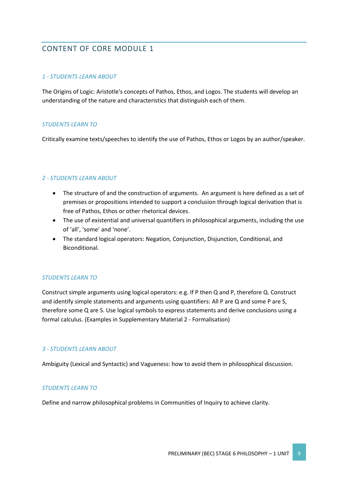# CONTENT OF CORE MODULE 1

## *1 - STUDENTS LEARN ABOUT*

The Origins of Logic: Aristotle's concepts of Pathos, Ethos, and Logos. The students will develop an understanding of the nature and characteristics that distinguish each of them.

## *STUDENTS LEARN TO*

Critically examine texts/speeches to identify the use of Pathos, Ethos or Logos by an author/speaker.

# *2 - STUDENTS LEARN ABOUT*

- The structure of and the construction of arguments. An argument is here defined as a set of premises or propositions intended to support a conclusion through logical derivation that is free of Pathos, Ethos or other rhetorical devices.
- The use of existential and universal quantifiers in philosophical arguments, including the use of 'all', 'some' and 'none'.
- The standard logical operators: Negation, Conjunction, Disjunction, Conditional, and Biconditional.

# *STUDENTS LEARN TO*

Construct simple arguments using logical operators: e.g. If P then Q and P, therefore Q. Construct and identify simple statements and arguments using quantifiers: All P are Q and some P are S, therefore some Q are S. Use logical symbols to express statements and derive conclusions using a formal calculus. (Examples in Supplementary Material 2 - Formalisation)

#### *3 - STUDENTS LEARN ABOUT*

Ambiguity (Lexical and Syntactic) and Vagueness: how to avoid them in philosophical discussion.

#### *STUDENTS LEARN TO*

Define and narrow philosophical problems in Communities of Inquiry to achieve clarity.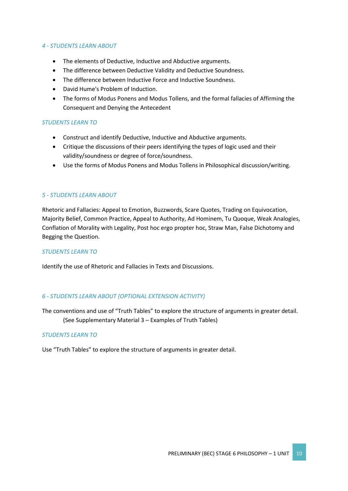#### *4 - STUDENTS LEARN ABOUT*

- The elements of Deductive, Inductive and Abductive arguments.
- The difference between Deductive Validity and Deductive Soundness.
- The difference between Inductive Force and Inductive Soundness.
- David Hume's Problem of Induction.
- The forms of Modus Ponens and Modus Tollens, and the formal fallacies of Affirming the Consequent and Denying the Antecedent

## *STUDENTS LEARN TO*

- Construct and identify Deductive, Inductive and Abductive arguments.
- Critique the discussions of their peers identifying the types of logic used and their validity/soundness or degree of force/soundness.
- Use the forms of Modus Ponens and Modus Tollens in Philosophical discussion/writing.

## *5 - STUDENTS LEARN ABOUT*

Rhetoric and Fallacies: Appeal to Emotion, Buzzwords, Scare Quotes, Trading on Equivocation, Majority Belief, Common Practice, Appeal to Authority, Ad Hominem, Tu Quoque, Weak Analogies, Conflation of Morality with Legality, Post hoc ergo propter hoc, Straw Man, False Dichotomy and Begging the Question.

#### *STUDENTS LEARN TO*

Identify the use of Rhetoric and Fallacies in Texts and Discussions.

# *6 - STUDENTS LEARN ABOUT (OPTIONAL EXTENSION ACTIVITY)*

The conventions and use of "Truth Tables" to explore the structure of arguments in greater detail. (See Supplementary Material 3 – Examples of Truth Tables)

#### *STUDENTS LEARN TO*

Use "Truth Tables" to explore the structure of arguments in greater detail.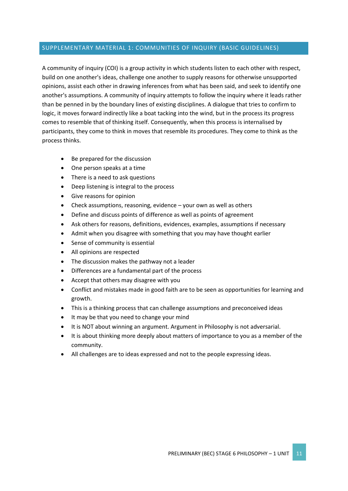## SUPPLEMENTARY MATERIAL 1: COMMUNITIES OF INQUIRY (BASIC GUIDELINES)

A community of inquiry (COI) is a group activity in which students listen to each other with respect, build on one another's ideas, challenge one another to supply reasons for otherwise unsupported opinions, assist each other in drawing inferences from what has been said, and seek to identify one another's assumptions. A community of inquiry attempts to follow the inquiry where it leads rather than be penned in by the boundary lines of existing disciplines. A dialogue that tries to confirm to logic, it moves forward indirectly like a boat tacking into the wind, but in the process its progress comes to resemble that of thinking itself. Consequently, when this process is internalised by participants, they come to think in moves that resemble its procedures. They come to think as the process thinks.

- Be prepared for the discussion
- One person speaks at a time
- There is a need to ask questions
- Deep listening is integral to the process
- Give reasons for opinion
- Check assumptions, reasoning, evidence your own as well as others
- Define and discuss points of difference as well as points of agreement
- Ask others for reasons, definitions, evidences, examples, assumptions if necessary
- Admit when you disagree with something that you may have thought earlier
- Sense of community is essential
- All opinions are respected
- The discussion makes the pathway not a leader
- Differences are a fundamental part of the process
- Accept that others may disagree with you
- Conflict and mistakes made in good faith are to be seen as opportunities for learning and growth.
- This is a thinking process that can challenge assumptions and preconceived ideas
- It may be that you need to change your mind
- It is NOT about winning an argument. Argument in Philosophy is not adversarial.
- It is about thinking more deeply about matters of importance to you as a member of the community.
- All challenges are to ideas expressed and not to the people expressing ideas.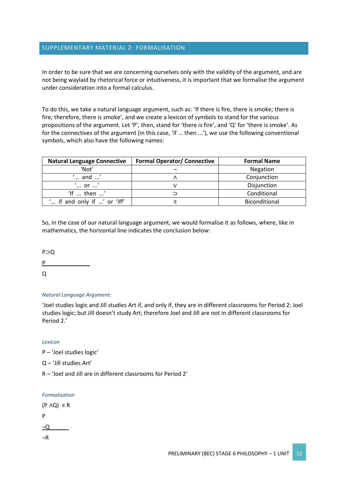## SUPPLEMENTARY MATERIAL 2: FORMALISATION

In order to be sure that we are concerning ourselves only with the validity of the argument, and are not being waylaid by rhetorical force or intuitiveness, it is important that we formalise the argument under consideration into a formal calculus.

To do this, we take a natural language argument, such as: 'If there is fire, there is smoke; there is fire; therefore, there is smoke', and we create a lexicon of symbols to stand for the various propositions of the argument. Let 'P', then, stand for 'there is fire', and 'Q' for 'there is smoke'. As for the connectives of the argument (in this case, 'if ... then ...'), we use the following conventional symbols, which also have the following names:

| <b>Natural Language Connective</b> | <b>Formal Operator/ Connective</b> | <b>Formal Name</b> |  |
|------------------------------------|------------------------------------|--------------------|--|
| 'Not'                              |                                    | Negation           |  |
| $^{\prime}$ and $^{\prime}$        | Conjunction                        |                    |  |
| $\cdot \ldots$ or $\ldots$         |                                    | Disjunction        |  |
| 'If $\dots$ then $\dots'$          |                                    | Conditional        |  |
| " if and only if ' or 'iff'        |                                    | Biconditional      |  |

So, in the case of our natural language argument, we would formalise it as follows, where, like in mathematics, the horizontal line indicates the conclusion below:

P⊃Q  $P_{\perp}$  $\Omega$ 

#### *Natural Language Argument:*

'Joel studies logic and Jill studies Art if, and only if, they are in different classrooms for Period 2; Joel studies logic; but Jill doesn't study Art; therefore Joel and Jill are not in different classrooms for Period 2.'

*Lexicon*

P – 'Joel studies logic'

Q – 'Jill studies Art'

R – 'Joel and Jill are in different classrooms for Period 2'

#### *Formalisation*

 $(P \wedge Q) \equiv R$ P  $\neg Q$ ¬R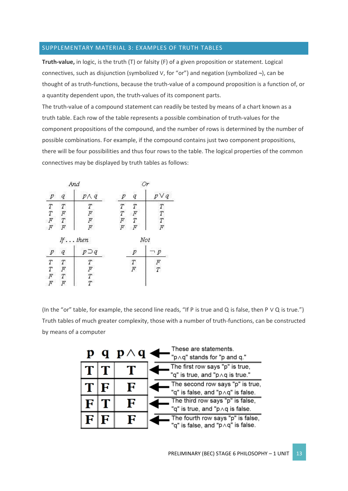#### SUPPLEMENTARY MATERIAL 3: EXAMPLES OF TRUTH TABLES

**Truth-value,** in logic, is the truth (T) or falsity (F) of a given proposition or statement. Logical connectives, such as disjunction (symbolized ∨, for "or") and negation (symbolized ¬), can be thought of as truth-functions, because the truth-value of a compound proposition is a function of, or a quantity dependent upon, the truth-values of its component parts.

The truth-value of a compound statement can readily be tested by means of a chart known as a truth table. Each row of the table represents a possible combination of truth-values for the component propositions of the compound, and the number of rows is determined by the number of possible combinations. For example, if the compound contains just two component propositions, there will be four possibilities and thus four rows to the table. The logical properties of the common connectives may be displayed by truth tables as follows:

|                                                                     | And              |                                    |                |  |
|---------------------------------------------------------------------|------------------|------------------------------------|----------------|--|
| р<br>q                                                              | $P \wedge q$     | р<br>q                             | p V q          |  |
| $\begin{array}{c} T \\ T \\ F \\ F \end{array}$<br>$\boldsymbol{T}$ |                  | $\overline{T}$<br>$\boldsymbol{T}$ | T              |  |
| $\overline{F}$                                                      |                  | $\overline{T}$<br>$\boldsymbol{F}$ | $\overline{T}$ |  |
| ${\cal T}$                                                          | T F F F          | T                                  | $\overline{T}$ |  |
| $\overline{F}$                                                      |                  | r<br>F<br>$\cal F$                 | $\overline{F}$ |  |
|                                                                     | If $\ldots$ then |                                    | Not            |  |
| р<br>q                                                              | $p \supset q$    | р                                  | p              |  |
| T<br>$\boldsymbol{T}$                                               | T                |                                    | F              |  |
| $T \n\in F$<br>F                                                    | F                | $T \nF$                            | $\overline{T}$ |  |
| ${\cal T}$                                                          |                  |                                    |                |  |
| R<br>Ħ                                                              |                  |                                    |                |  |

(In the "or" table, for example, the second line reads, "If P is true and Q is false, then P ∨ Q is true.") Truth tables of much greater complexity, those with a number of truth-functions, can be constructed by means of a computer

| p.           |   | q $p \wedge q$ | These are statements.<br>"p ^ q" stands for "p and q."                  |
|--------------|---|----------------|-------------------------------------------------------------------------|
| $T$ $T$      |   |                | The first row says "p" is true,<br>"q" is true, and "p Aq is true."     |
| $\mathbf{T}$ | F | F              | The second row says "p" is true,<br>"q" is false, and "p  oq" is false. |
| F            |   | F              | The third row says "p" is false,<br>"q" is true, and "p  q is false.    |
| F            | F | F              | The fourth row says "p" is false,<br>"q" is false, and "p∧q" is false.  |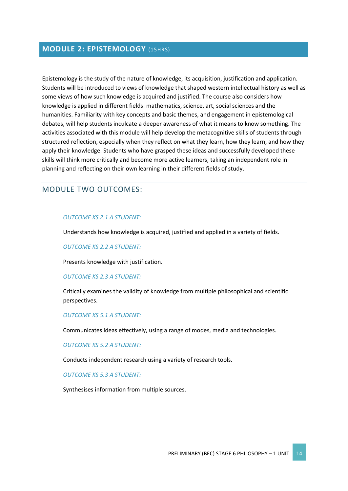# **MODULE 2: EPISTEMOLOGY** (15HRS)

Epistemology is the study of the nature of knowledge, its acquisition, justification and application. Students will be introduced to views of knowledge that shaped western intellectual history as well as some views of how such knowledge is acquired and justified. The course also considers how knowledge is applied in different fields: mathematics, science, art, social sciences and the humanities. Familiarity with key concepts and basic themes, and engagement in epistemological debates, will help students inculcate a deeper awareness of what it means to know something. The activities associated with this module will help develop the metacognitive skills of students through structured reflection, especially when they reflect on what they learn, how they learn, and how they apply their knowledge. Students who have grasped these ideas and successfully developed these skills will think more critically and become more active learners, taking an independent role in planning and reflecting on their own learning in their different fields of study.

# MODULE TWO OUTCOMES:

#### *OUTCOME KS 2.1 A STUDENT:*

Understands how knowledge is acquired, justified and applied in a variety of fields.

#### *OUTCOME KS 2.2 A STUDENT:*

Presents knowledge with justification.

#### *OUTCOME KS 2.3 A STUDENT:*

Critically examines the validity of knowledge from multiple philosophical and scientific perspectives.

#### *OUTCOME KS 5.1 A STUDENT:*

Communicates ideas effectively, using a range of modes, media and technologies.

#### *OUTCOME KS 5.2 A STUDENT:*

Conducts independent research using a variety of research tools.

#### *OUTCOME KS 5.3 A STUDENT:*

Synthesises information from multiple sources.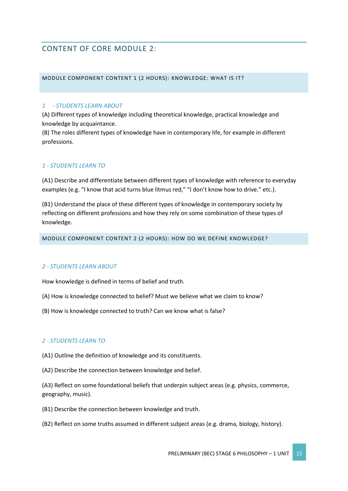# CONTENT OF CORE MODULE 2:

#### MODULE COMPONENT CONTENT 1 (2 HOURS): KNOWLEDGE: WHAT IS IT?

## *1 - STUDENTS LEARN ABOUT*

(A) Different types of knowledge including theoretical knowledge, practical knowledge and knowledge by acquaintance.

(B) The roles different types of knowledge have in contemporary life, for example in different professions.

# *1 - STUDENTS LEARN TO*

(A1) Describe and differentiate between different types of knowledge with reference to everyday examples (e.g. "I know that acid turns blue litmus red," "I don't know how to drive." etc.).

(B1) Understand the place of these different types of knowledge in contemporary society by reflecting on different professions and how they rely on some combination of these types of knowledge.

MODULE COMPONENT CONTENT 2 (2 HOURS): HOW DO WE DEFINE KNOWLEDGE?

#### *2 - STUDENTS LEARN ABOUT*

How knowledge is defined in terms of belief and truth.

- (A) How is knowledge connected to belief? Must we believe what we claim to know?
- (B) How is knowledge connected to truth? Can we know what is false?

#### *2 - STUDENTS LEARN TO*

(A1) Outline the definition of knowledge and its constituents.

(A2) Describe the connection between knowledge and belief.

(A3) Reflect on some foundational beliefs that underpin subject areas (e.g. physics, commerce, geography, music).

(B1) Describe the connection between knowledge and truth.

(B2) Reflect on some truths assumed in different subject areas (e.g. drama, biology, history).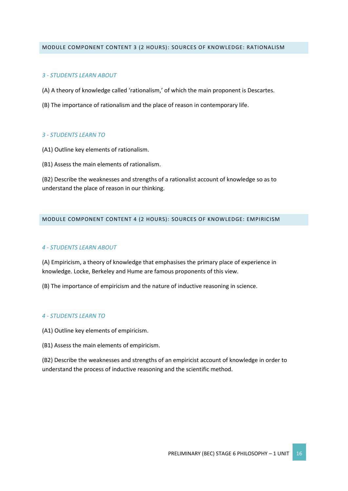#### MODULE COMPONENT CONTENT 3 (2 HOURS): SOURCES OF KNOWLEDGE: RATIONALISM

## *3 - STUDENTS LEARN ABOUT*

- (A) A theory of knowledge called 'rationalism,' of which the main proponent is Descartes.
- (B) The importance of rationalism and the place of reason in contemporary life.

## *3 - STUDENTS LEARN TO*

- (A1) Outline key elements of rationalism.
- (B1) Assess the main elements of rationalism.

(B2) Describe the weaknesses and strengths of a rationalist account of knowledge so as to understand the place of reason in our thinking.

#### MODULE COMPONENT CONTENT 4 (2 HOURS): SOURCES OF KNOWLEDGE: EMPIRICISM

## *4 - STUDENTS LEARN ABOUT*

(A) Empiricism, a theory of knowledge that emphasises the primary place of experience in knowledge. Locke, Berkeley and Hume are famous proponents of this view.

(B) The importance of empiricism and the nature of inductive reasoning in science.

#### *4 - STUDENTS LEARN TO*

- (A1) Outline key elements of empiricism.
- (B1) Assess the main elements of empiricism.

(B2) Describe the weaknesses and strengths of an empiricist account of knowledge in order to understand the process of inductive reasoning and the scientific method.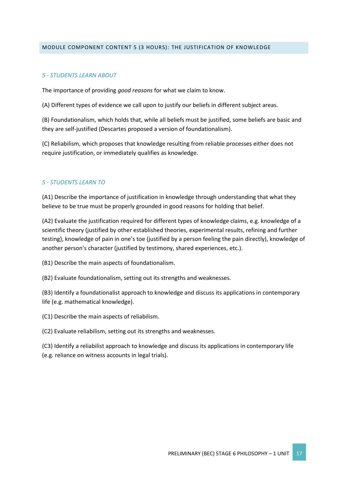#### MODULE COMPONENT CONTENT 5 (3 HOURS): THE JUSTIFICATION OF KNOWLEDGE

#### *5 - STUDENTS LEARN ABOUT*

The importance of providing *good reasons* for what we claim to know.

(A) Different types of evidence we call upon to justify our beliefs in different subject areas.

(B) Foundationalism, which holds that, while all beliefs must be justified, some beliefs are basic and they are self-justified (Descartes proposed a version of foundationalism).

(C) Reliabilism, which proposes that knowledge resulting from reliable processes either does not require justification, or immediately qualifies as knowledge.

## *5 - STUDENTS LEARN TO*

(A1) Describe the importance of justification in knowledge through understanding that what they believe to be true must be properly grounded in good reasons for holding that belief.

(A2) Evaluate the justification required for different types of knowledge claims, e.g. knowledge of a scientific theory (justified by other established theories, experimental results, refining and further testing), knowledge of pain in one's toe (justified by a person feeling the pain directly), knowledge of another person's character (justified by testimony, shared experiences, etc.).

(B1) Describe the main aspects of foundationalism.

(B2) Evaluate foundationalism, setting out its strengths and weaknesses.

(B3) Identify a foundationalist approach to knowledge and discuss its applications in contemporary life (e.g. mathematical knowledge).

(C1) Describe the main aspects of reliabilism.

(C2) Evaluate reliabilism, setting out its strengths and weaknesses.

(C3) Identify a reliabilist approach to knowledge and discuss its applications in contemporary life (e.g. reliance on witness accounts in legal trials).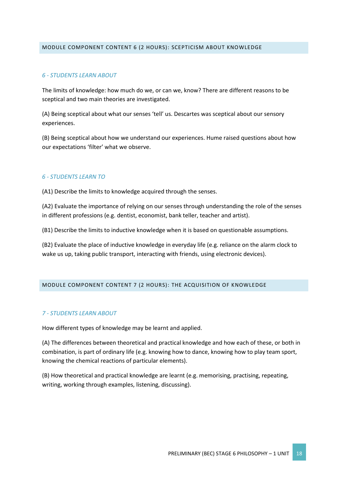#### MODULE COMPONENT CONTENT 6 (2 HOURS): SCEPTICISM ABOUT KNOWLEDGE

## *6 - STUDENTS LEARN ABOUT*

The limits of knowledge: how much do we, or can we, know? There are different reasons to be sceptical and two main theories are investigated.

(A) Being sceptical about what our senses 'tell' us. Descartes was sceptical about our sensory experiences.

(B) Being sceptical about how we understand our experiences. Hume raised questions about how our expectations 'filter' what we observe.

#### *6 - STUDENTS LEARN TO*

(A1) Describe the limits to knowledge acquired through the senses.

(A2) Evaluate the importance of relying on our senses through understanding the role of the senses in different professions (e.g. dentist, economist, bank teller, teacher and artist).

(B1) Describe the limits to inductive knowledge when it is based on questionable assumptions.

(B2) Evaluate the place of inductive knowledge in everyday life (e.g. reliance on the alarm clock to wake us up, taking public transport, interacting with friends, using electronic devices).

#### MODULE COMPONENT CONTENT 7 (2 HOURS): THE ACQUISITION OF KNOWLEDGE

#### *7 - STUDENTS LEARN ABOUT*

How different types of knowledge may be learnt and applied.

(A) The differences between theoretical and practical knowledge and how each of these, or both in combination, is part of ordinary life (e.g. knowing how to dance, knowing how to play team sport, knowing the chemical reactions of particular elements).

(B) How theoretical and practical knowledge are learnt (e.g. memorising, practising, repeating, writing, working through examples, listening, discussing).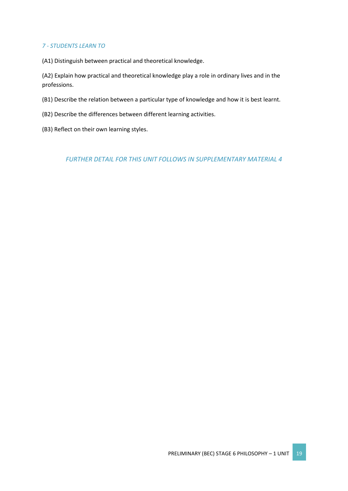## *7 - STUDENTS LEARN TO*

(A1) Distinguish between practical and theoretical knowledge.

(A2) Explain how practical and theoretical knowledge play a role in ordinary lives and in the professions.

- (B1) Describe the relation between a particular type of knowledge and how it is best learnt.
- (B2) Describe the differences between different learning activities.
- (B3) Reflect on their own learning styles.

*FURTHER DETAIL FOR THIS UNIT FOLLOWS IN SUPPLEMENTARY MATERIAL 4*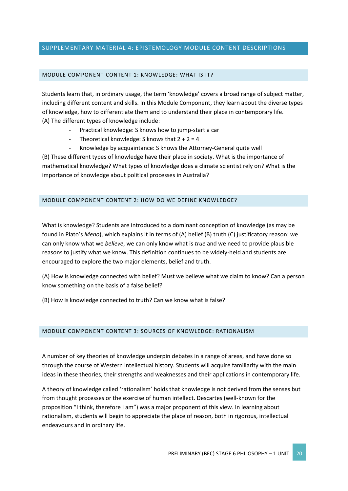## SUPPLEMENTARY MATERIAL 4: EPISTEMOLOGY MODULE CONTENT DESCRIPTIONS

#### MODULE COMPONENT CONTENT 1: KNOWLEDGE: WHAT IS IT?

Students learn that, in ordinary usage, the term 'knowledge' covers a broad range of subject matter, including different content and skills. In this Module Component, they learn about the diverse types of knowledge, how to differentiate them and to understand their place in contemporary life. (A) The different types of knowledge include:

- Practical knowledge: S knows how to jump-start a car
- Theoretical knowledge: S knows that  $2 + 2 = 4$
- Knowledge by acquaintance: S knows the Attorney-General quite well

(B) These different types of knowledge have their place in society. What is the importance of mathematical knowledge? What types of knowledge does a climate scientist rely on? What is the importance of knowledge about political processes in Australia?

#### MODULE COMPONENT CONTENT 2: HOW DO WE DEFINE KNOWLEDGE?

What is knowledge? Students are introduced to a dominant conception of knowledge (as may be found in Plato's *Meno*), which explains it in terms of (A) belief (B) truth (C) justificatory reason: we can only know what we *believe*, we can only know what is *true* and we need to provide plausible reasons to justify what we know. This definition continues to be widely-held and students are encouraged to explore the two major elements, belief and truth.

(A) How is knowledge connected with belief? Must we believe what we claim to know? Can a person know something on the basis of a false belief?

(B) How is knowledge connected to truth? Can we know what is false?

#### MODULE COMPONENT CONTENT 3: SOURCES OF KNOWLEDGE: RATIONALISM

A number of key theories of knowledge underpin debates in a range of areas, and have done so through the course of Western intellectual history. Students will acquire familiarity with the main ideas in these theories, their strengths and weaknesses and their applications in contemporary life.

A theory of knowledge called 'rationalism' holds that knowledge is not derived from the senses but from thought processes or the exercise of human intellect. Descartes (well-known for the proposition "I think, therefore I am") was a major proponent of this view. In learning about rationalism, students will begin to appreciate the place of reason, both in rigorous, intellectual endeavours and in ordinary life.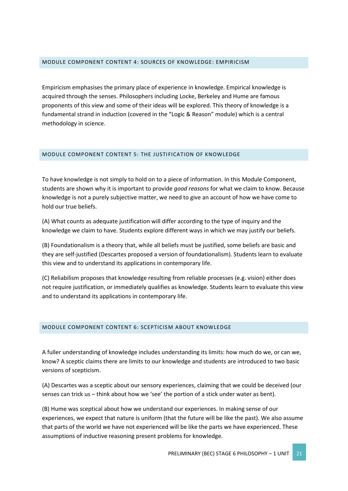#### MODULE COMPONENT CONTENT 4: SOURCES OF KNOWLEDGE: EMPIRICISM

Empiricism emphasises the primary place of experience in knowledge. Empirical knowledge is acquired through the senses. Philosophers including Locke, Berkeley and Hume are famous proponents of this view and some of their ideas will be explored. This theory of knowledge is a fundamental strand in induction (covered in the "Logic & Reason" module) which is a central methodology in science.

#### MODULE COMPONENT CONTENT 5: THE JUSTIFICATION OF KNOWLEDGE

To have knowledge is not simply to hold on to a piece of information. In this Module Component, students are shown why it is important to provide *good reasons* for what we claim to know. Because knowledge is not a purely subjective matter, we need to give an account of how we have come to hold our true beliefs.

(A) What counts as adequate justification will differ according to the type of inquiry and the knowledge we claim to have. Students explore different ways in which we may justify our beliefs.

(B) Foundationalism is a theory that, while all beliefs must be justified, some beliefs are basic and they are self-justified (Descartes proposed a version of foundationalism). Students learn to evaluate this view and to understand its applications in contemporary life.

(C) Reliabilism proposes that knowledge resulting from reliable processes (e.g. vision) either does not require justification, or immediately qualifies as knowledge. Students learn to evaluate this view and to understand its applications in contemporary life.

#### MODULE COMPONENT CONTENT 6: SCEPTICISM ABOUT KNOWLEDGE

A fuller understanding of knowledge includes understanding its limits: how much do we, or can we, know? A sceptic claims there are limits to our knowledge and students are introduced to two basic versions of scepticism.

(A) Descartes was a sceptic about our sensory experiences, claiming that we could be deceived (our senses can trick us – think about how we 'see' the portion of a stick under water as bent).

(B) Hume was sceptical about how we understand our experiences. In making sense of our experiences, we expect that nature is uniform (that the future will be like the past). We also assume that parts of the world we have not experienced will be like the parts we have experienced. These assumptions of inductive reasoning present problems for knowledge.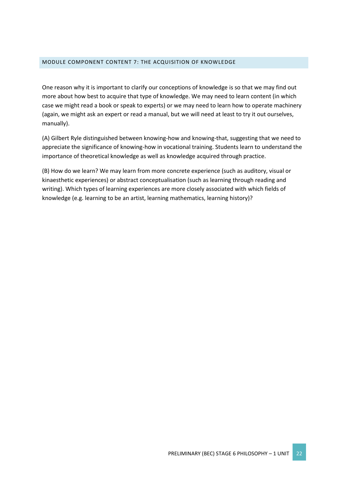#### MODULE COMPONENT CONTENT 7: THE ACQUISITION OF KNOWLEDGE

One reason why it is important to clarify our conceptions of knowledge is so that we may find out more about how best to acquire that type of knowledge. We may need to learn content (in which case we might read a book or speak to experts) or we may need to learn how to operate machinery (again, we might ask an expert or read a manual, but we will need at least to try it out ourselves, manually).

(A) Gilbert Ryle distinguished between knowing-how and knowing-that, suggesting that we need to appreciate the significance of knowing-how in vocational training. Students learn to understand the importance of theoretical knowledge as well as knowledge acquired through practice.

(B) How do we learn? We may learn from more concrete experience (such as auditory, visual or kinaesthetic experiences) or abstract conceptualisation (such as learning through reading and writing). Which types of learning experiences are more closely associated with which fields of knowledge (e.g. learning to be an artist, learning mathematics, learning history)?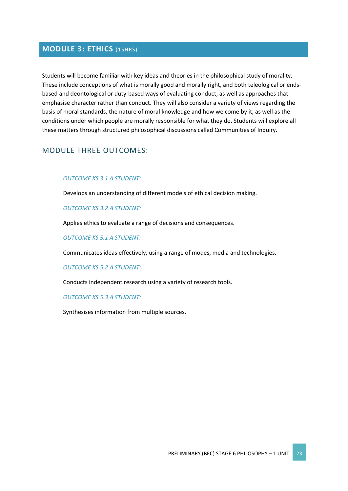# **MODULE 3: ETHICS** (15HRS)

Students will become familiar with key ideas and theories in the philosophical study of morality. These include conceptions of what is morally good and morally right, and both teleological or endsbased and deontological or duty-based ways of evaluating conduct, as well as approaches that emphasise character rather than conduct. They will also consider a variety of views regarding the basis of moral standards, the nature of moral knowledge and how we come by it, as well as the conditions under which people are morally responsible for what they do. Students will explore all these matters through structured philosophical discussions called Communities of Inquiry.

# MODULE THREE OUTCOMES:

#### *OUTCOME KS 3.1 A STUDENT:*

Develops an understanding of different models of ethical decision making.

#### *OUTCOME KS 3.2 A STUDENT:*

Applies ethics to evaluate a range of decisions and consequences.

*OUTCOME KS 5.1 A STUDENT:*

Communicates ideas effectively, using a range of modes, media and technologies.

*OUTCOME KS 5.2 A STUDENT:*

Conducts independent research using a variety of research tools.

*OUTCOME KS 5.3 A STUDENT:*

Synthesises information from multiple sources.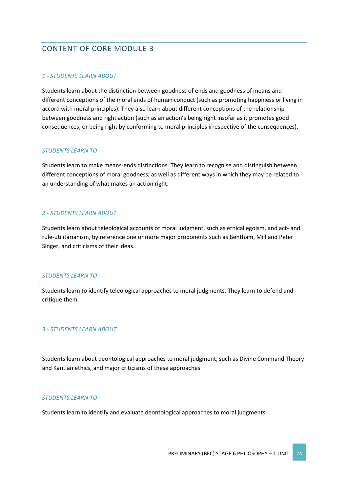# CONTENT OF CORE MODULE 3

# *1 - STUDENTS LEARN ABOUT*

Students learn about the distinction between goodness of ends and goodness of means and different conceptions of the moral ends of human conduct (such as promoting happiness or living in accord with moral principles). They also learn about different conceptions of the relationship between goodness and right action (such as an action's being right insofar as it promotes good consequences, or being right by conforming to moral principles irrespective of the consequences).

## *STUDENTS LEARN TO*

Students learn to make means-ends distinctions. They learn to recognise and distinguish between different conceptions of moral goodness, as well as different ways in which they may be related to an understanding of what makes an action right.

# *2 - STUDENTS LEARN ABOUT*

Students learn about teleological accounts of moral judgment, such as ethical egoism, and act- and rule-utilitarianism, by reference one or more major proponents such as Bentham, Mill and Peter Singer, and criticisms of their ideas.

#### *STUDENTS LEARN TO*

Students learn to identify teleological approaches to moral judgments. They learn to defend and critique them.

# *3 - STUDENTS LEARN ABOUT*

Students learn about deontological approaches to moral judgment, such as Divine Command Theory and Kantian ethics, and major criticisms of these approaches.

#### *STUDENTS LEARN TO*

Students learn to identify and evaluate deontological approaches to moral judgments.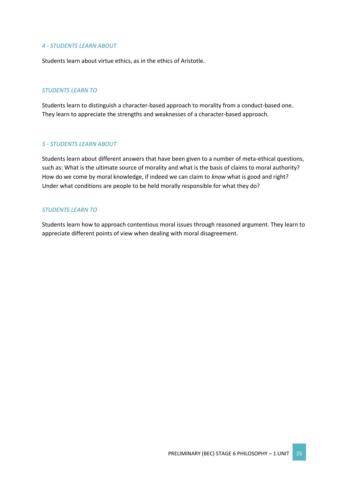#### *4 - STUDENTS LEARN ABOUT*

Students learn about virtue ethics, as in the ethics of Aristotle.

#### *STUDENTS LEARN TO*

Students learn to distinguish a character-based approach to morality from a conduct-based one. They learn to appreciate the strengths and weaknesses of a character-based approach.

#### *5 - STUDENTS LEARN ABOUT*

Students learn about different answers that have been given to a number of meta-ethical questions, such as: What is the ultimate source of morality and what is the basis of claims to moral authority? How do we come by moral knowledge, if indeed we can claim to *know* what is good and right? Under what conditions are people to be held morally responsible for what they do?

## *STUDENTS LEARN TO*

Students learn how to approach contentious moral issues through reasoned argument. They learn to appreciate different points of view when dealing with moral disagreement.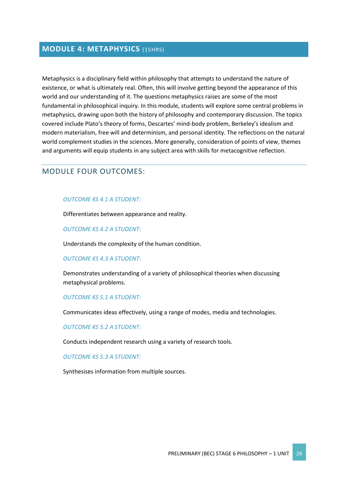# **MODULE 4: METAPHYSICS** (15HRS)

Metaphysics is a disciplinary field within philosophy that attempts to understand the nature of existence, or what is ultimately real. Often, this will involve getting beyond the appearance of this world and our understanding of it. The questions metaphysics raises are some of the most fundamental in philosophical inquiry. In this module, students will explore some central problems in metaphysics, drawing upon both the history of philosophy and contemporary discussion. The topics covered include Plato's theory of forms, Descartes' mind-body problem, Berkeley's idealism and modern materialism, free will and determinism, and personal identity. The reflections on the natural world complement studies in the sciences. More generally, consideration of points of view, themes and arguments will equip students in any subject area with skills for metacognitive reflection.

# MODULE FOUR OUTCOMES:

#### *OUTCOME KS 4.1 A STUDENT:*

Differentiates between appearance and reality.

#### *OUTCOME KS 4.2 A STUDENT:*

Understands the complexity of the human condition.

#### *OUTCOME KS 4.3 A STUDENT:*

Demonstrates understanding of a variety of philosophical theories when discussing metaphysical problems.

#### *OUTCOME KS 5.1 A STUDENT:*

Communicates ideas effectively, using a range of modes, media and technologies.

#### *OUTCOME KS 5.2 A STUDENT:*

Conducts independent research using a variety of research tools.

#### *OUTCOME KS 5.3 A STUDENT:*

Synthesises information from multiple sources.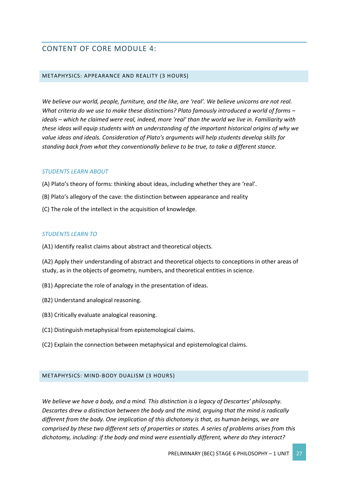# CONTENT OF CORE MODULE 4:

#### METAPHYSICS: APPEARANCE AND REALITY (3 HOURS)

*We believe our world, people, furniture, and the like, are 'real'. We believe unicorns are not real. What criteria do we use to make these distinctions? Plato famously introduced a world of forms – ideals – which he claimed were real, indeed, more 'real' than the world we live in. Familiarity with these ideas will equip students with an understanding of the important historical origins of why we value ideas and ideals. Consideration of Plato's arguments will help students develop skills for standing back from what they conventionally believe to be true, to take a different stance.*

#### *STUDENTS LEARN ABOUT*

- (A) Plato's theory of forms: thinking about ideas, including whether they are 'real'.
- (B) Plato's allegory of the cave: the distinction between appearance and reality
- (C) The role of the intellect in the acquisition of knowledge.

#### *STUDENTS LEARN TO*

(A1) Identify realist claims about abstract and theoretical objects.

(A2) Apply their understanding of abstract and theoretical objects to conceptions in other areas of study, as in the objects of geometry, numbers, and theoretical entities in science.

- (B1) Appreciate the role of analogy in the presentation of ideas.
- (B2) Understand analogical reasoning.
- (B3) Critically evaluate analogical reasoning.
- (C1) Distinguish metaphysical from epistemological claims.
- (C2) Explain the connection between metaphysical and epistemological claims.

#### METAPHYSICS: MIND-BODY DUALISM (3 HOURS)

*We believe we have a body, and a mind. This distinction is a legacy of Descartes' philosophy. Descartes drew a distinction between the body and the mind, arguing that the mind is radically different from the body. One implication of this dichotomy is that, as human beings, we are comprised by these two different sets of properties or states. A series of problems arises from this dichotomy, including: if the body and mind were essentially different, where do they interact?*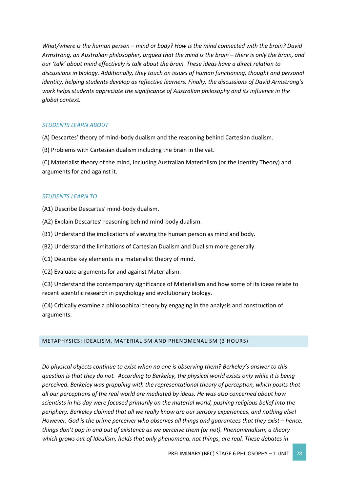*What/where is the human person – mind or body? How is the mind connected with the brain? David Armstrong, an Australian philosopher, argued that the mind is the brain – there is only the brain, and our 'talk' about mind effectively is talk about the brain. These ideas have a direct relation to discussions in biology. Additionally, they touch on issues of human functioning, thought and personal identity, helping students develop as reflective learners. Finally, the discussions of David Armstrong's work helps students appreciate the significance of Australian philosophy and its influence in the global context.*

#### *STUDENTS LEARN ABOUT*

(A) Descartes' theory of mind-body dualism and the reasoning behind Cartesian dualism.

(B) Problems with Cartesian dualism including the brain in the vat.

(C) Materialist theory of the mind, including Australian Materialism (or the Identity Theory) and arguments for and against it.

#### *STUDENTS LEARN TO*

(A1) Describe Descartes' mind-body dualism.

- (A2) Explain Descartes' reasoning behind mind-body dualism.
- (B1) Understand the implications of viewing the human person as mind and body.
- (B2) Understand the limitations of Cartesian Dualism and Dualism more generally.
- (C1) Describe key elements in a materialist theory of mind.

(C2) Evaluate arguments for and against Materialism.

(C3) Understand the contemporary significance of Materialism and how some of its ideas relate to recent scientific research in psychology and evolutionary biology.

(C4) Critically examine a philosophical theory by engaging in the analysis and construction of arguments.

#### METAPHYSICS: IDEALISM, MATERIALISM AND PHENOMENALISM (3 HOURS)

*Do physical objects continue to exist when no one is observing them? Berkeley's answer to this question is that they do not. According to Berkeley, the physical world exists only while it is being perceived. Berkeley was grappling with the representational theory of perception, which posits that all our perceptions of the real world are mediated by ideas. He was also concerned about how scientists in his day were focused primarily on the material world, pushing religious belief into the periphery. Berkeley claimed that all we really know are our sensory experiences, and nothing else! However, God is the prime perceiver who observes all things and quarantees that they exist – hence, things don't pop in and out of existence as we perceive them (or not). Phenomenalism, a theory which grows out of Idealism, holds that only phenomena, not things, are real. These debates in*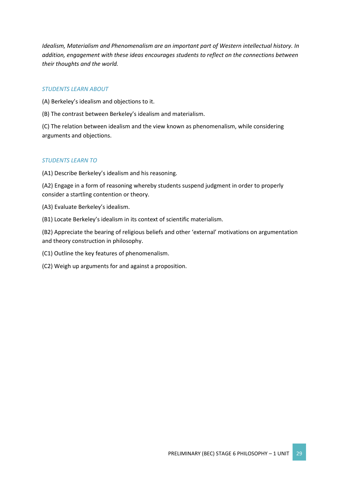*Idealism, Materialism and Phenomenalism are an important part of Western intellectual history. In addition, engagement with these ideas encourages students to reflect on the connections between their thoughts and the world.*

### *STUDENTS LEARN ABOUT*

(A) Berkeley's idealism and objections to it.

(B) The contrast between Berkeley's idealism and materialism.

(C) The relation between idealism and the view known as phenomenalism, while considering arguments and objections.

## *STUDENTS LEARN TO*

(A1) Describe Berkeley's idealism and his reasoning.

(A2) Engage in a form of reasoning whereby students suspend judgment in order to properly consider a startling contention or theory.

- (A3) Evaluate Berkeley's idealism.
- (B1) Locate Berkeley's idealism in its context of scientific materialism.

(B2) Appreciate the bearing of religious beliefs and other 'external' motivations on argumentation and theory construction in philosophy.

- (C1) Outline the key features of phenomenalism.
- (C2) Weigh up arguments for and against a proposition.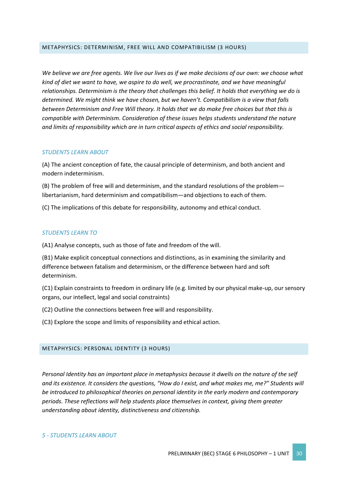#### METAPHYSICS: DETERMINISM, FREE WILL AND COMPATIBILISM (3 HOURS)

*We believe we are free agents. We live our lives as if we make decisions of our own: we choose what kind of diet we want to have, we aspire to do well, we procrastinate, and we have meaningful relationships. Determinism is the theory that challenges this belief. It holds that everything we do is determined. We might think we have chosen, but we haven't. Compatibilism is a view that falls between Determinism and Free Will theory. It holds that we do make free choices but that this is compatible with Determinism. Consideration of these issues helps students understand the nature and limits of responsibility which are in turn critical aspects of ethics and social responsibility.*

#### *STUDENTS LEARN ABOUT*

(A) The ancient conception of fate, the causal principle of determinism, and both ancient and modern indeterminism.

(B) The problem of free will and determinism, and the standard resolutions of the problem libertarianism, hard determinism and compatibilism—and objections to each of them.

(C) The implications of this debate for responsibility, autonomy and ethical conduct.

#### *STUDENTS LEARN TO*

(A1) Analyse concepts, such as those of fate and freedom of the will.

(B1) Make explicit conceptual connections and distinctions, as in examining the similarity and difference between fatalism and determinism, or the difference between hard and soft determinism.

(C1) Explain constraints to freedom in ordinary life (e.g. limited by our physical make-up, our sensory organs, our intellect, legal and social constraints)

(C2) Outline the connections between free will and responsibility.

(C3) Explore the scope and limits of responsibility and ethical action.

#### METAPHYSICS: PERSONAL IDENTITY (3 HOURS)

*Personal Identity has an important place in metaphysics because it dwells on the nature of the self and its existence. It considers the questions, "How do I exist, and what makes me, me?" Students will be introduced to philosophical theories on personal identity in the early modern and contemporary periods. These reflections will help students place themselves in context, giving them greater understanding about identity, distinctiveness and citizenship.*

#### *5 - STUDENTS LEARN ABOUT*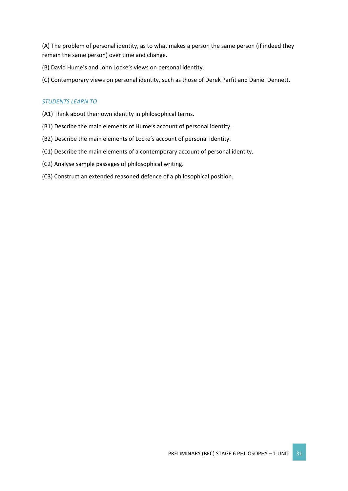(A) The problem of personal identity, as to what makes a person the same person (if indeed they remain the same person) over time and change.

(B) David Hume's and John Locke's views on personal identity.

(C) Contemporary views on personal identity, such as those of Derek Parfit and Daniel Dennett.

## *STUDENTS LEARN TO*

- (A1) Think about their own identity in philosophical terms.
- (B1) Describe the main elements of Hume's account of personal identity.
- (B2) Describe the main elements of Locke's account of personal identity.
- (C1) Describe the main elements of a contemporary account of personal identity.
- (C2) Analyse sample passages of philosophical writing.
- (C3) Construct an extended reasoned defence of a philosophical position.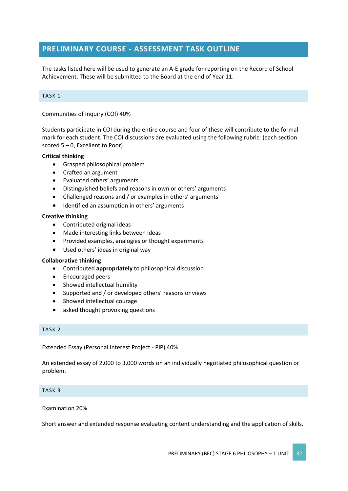# **PRELIMINARY COURSE - ASSESSMENT TASK OUTLINE**

The tasks listed here will be used to generate an A-E grade for reporting on the Record of School Achievement. These will be submitted to the Board at the end of Year 11.

#### TASK 1

Communities of Inquiry (COI) 40%

Students participate in COI during the entire course and four of these will contribute to the formal mark for each student. The COI discussions are evaluated using the following rubric: (each section scored 5 – 0, Excellent to Poor)

#### **Critical thinking**

- Grasped philosophical problem
- Crafted an argument
- Evaluated others' arguments
- Distinguished beliefs and reasons in own or others' arguments
- Challenged reasons and / or examples in others' arguments
- Identified an assumption in others' arguments

#### **Creative thinking**

- Contributed original ideas
- Made interesting links between ideas
- Provided examples, analogies or thought experiments
- Used others' ideas in original way

#### **Collaborative thinking**

- Contributed **appropriately** to philosophical discussion
- Encouraged peers
- Showed intellectual humility
- Supported and / or developed others' reasons or views
- Showed intellectual courage
- asked thought provoking questions

#### TASK 2

Extended Essay (Personal Interest Project - PIP) 40%

An extended essay of 2,000 to 3,000 words on an individually negotiated philosophical question or problem.

#### TASK 3

#### Examination 20%

Short answer and extended response evaluating content understanding and the application of skills.